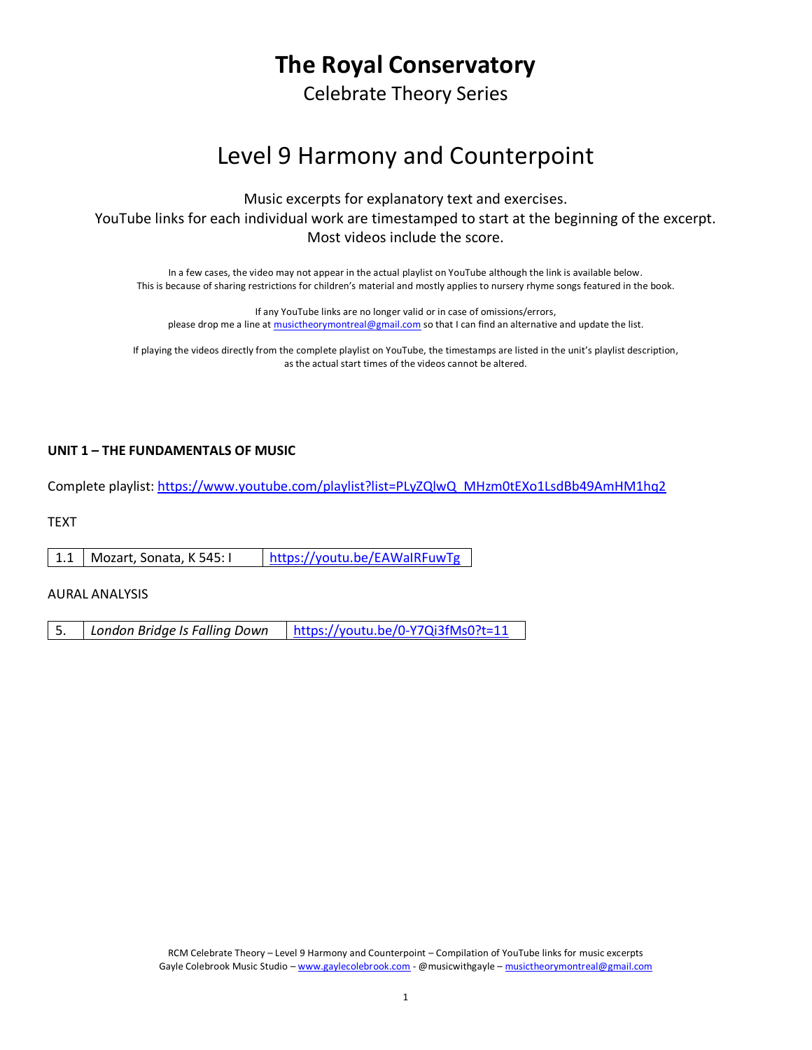# **The Royal Conservatory**

Celebrate Theory Series

# Level 9 Harmony and Counterpoint

Music excerpts for explanatory text and exercises.

YouTube links for each individual work are timestamped to start at the beginning of the excerpt. Most videos include the score.

In a few cases, the video may not appear in the actual playlist on YouTube although the link is available below. This is because of sharing restrictions for children's material and mostly applies to nursery rhyme songs featured in the book.

If any YouTube links are no longer valid or in case of omissions/errors, please drop me a line a[t musictheorymontreal@gmail.com](mailto:musictheorymontreal@gmail.com) so that I can find an alternative and update the list.

If playing the videos directly from the complete playlist on YouTube, the timestamps are listed in the unit's playlist description, as the actual start times of the videos cannot be altered.

## **UNIT 1 – THE FUNDAMENTALS OF MUSIC**

Complete playlist: [https://www.youtube.com/playlist?list=PLyZQlwQ\\_MHzm0tEXo1LsdBb49AmHM1hq2](https://www.youtube.com/playlist?list=PLyZQlwQ_MHzm0tEXo1LsdBb49AmHM1hq2)

**TEXT** 

1.1 Mozart, Sonata, K 545: I <https://youtu.be/EAWaIRFuwTg>

#### AURAL ANALYSIS

5. *London Bridge Is Falling Down* <https://youtu.be/0-Y7Qi3fMs0?t=11>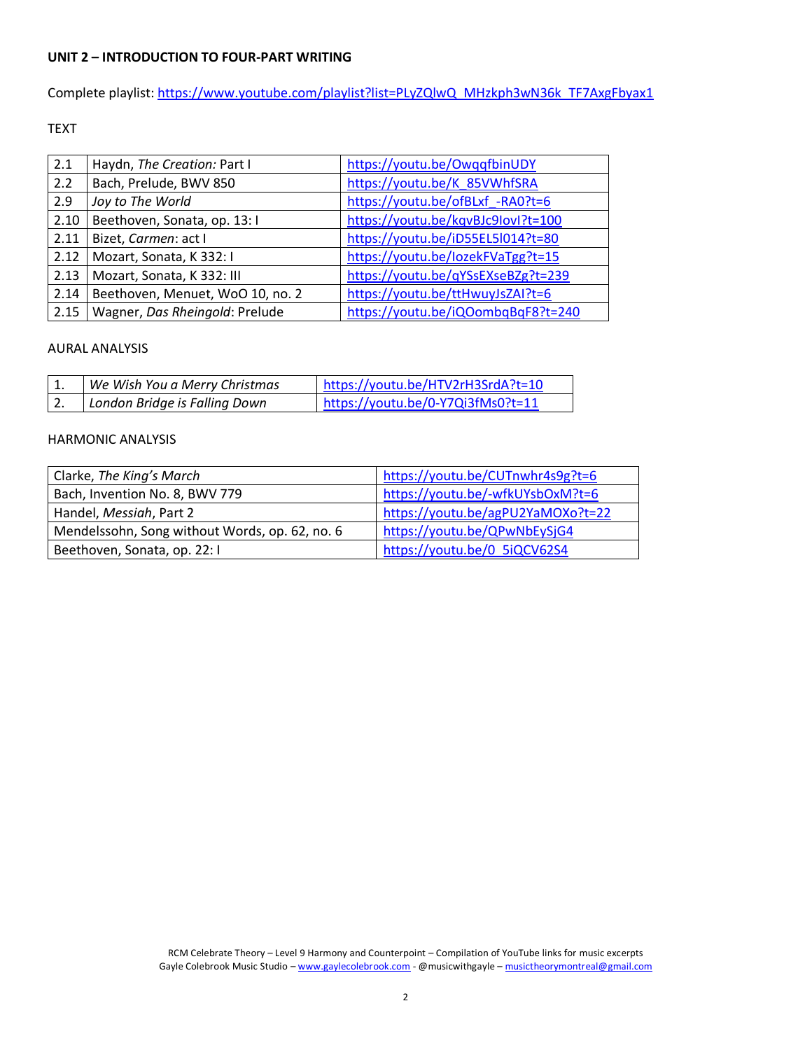#### **UNIT 2 – INTRODUCTION TO FOUR-PART WRITING**

Complete playlist: [https://www.youtube.com/playlist?list=PLyZQlwQ\\_MHzkph3wN36k\\_TF7AxgFbyax1](https://www.youtube.com/playlist?list=PLyZQlwQ_MHzkph3wN36k_TF7AxgFbyax1)

## TEXT

| 2.1  | Haydn, The Creation: Part I      | https://youtu.be/OwgqfbinUDY       |
|------|----------------------------------|------------------------------------|
| 2.2  | Bach, Prelude, BWV 850           | https://youtu.be/K 85VWhfSRA       |
| 2.9  | Joy to The World                 | https://youtu.be/ofBLxf -RA0?t=6   |
| 2.10 | Beethoven, Sonata, op. 13: I     | https://youtu.be/kqvBJc9lovl?t=100 |
| 2.11 | Bizet, Carmen: act I             | https://youtu.be/iD55EL5l014?t=80  |
| 2.12 | Mozart, Sonata, K 332: I         | https://youtu.be/lozekFVaTgg?t=15  |
| 2.13 | Mozart, Sonata, K 332: III       | https://youtu.be/qYSsEXseBZg?t=239 |
| 2.14 | Beethoven, Menuet, WoO 10, no. 2 | https://youtu.be/ttHwuyJsZAI?t=6   |
| 2.15 | Wagner, Das Rheingold: Prelude   | https://youtu.be/iQOombqBqF8?t=240 |

#### AURAL ANALYSIS

|    | We Wish You a Merry Christmas | https://youtu.be/HTV2rH3SrdA?t=10 |
|----|-------------------------------|-----------------------------------|
| z. | London Bridge is Falling Down | https://youtu.be/0-Y7Qi3fMs0?t=11 |

| Clarke, The King's March                       | https://youtu.be/CUTnwhr4s9g?t=6  |
|------------------------------------------------|-----------------------------------|
| Bach, Invention No. 8, BWV 779                 | https://youtu.be/-wfkUYsbOxM?t=6  |
| Handel, Messiah, Part 2                        | https://youtu.be/agPU2YaMOXo?t=22 |
| Mendelssohn, Song without Words, op. 62, no. 6 | https://youtu.be/QPwNbEySjG4      |
| Beethoven, Sonata, op. 22: I                   | https://youtu.be/0 5iQCV62S4      |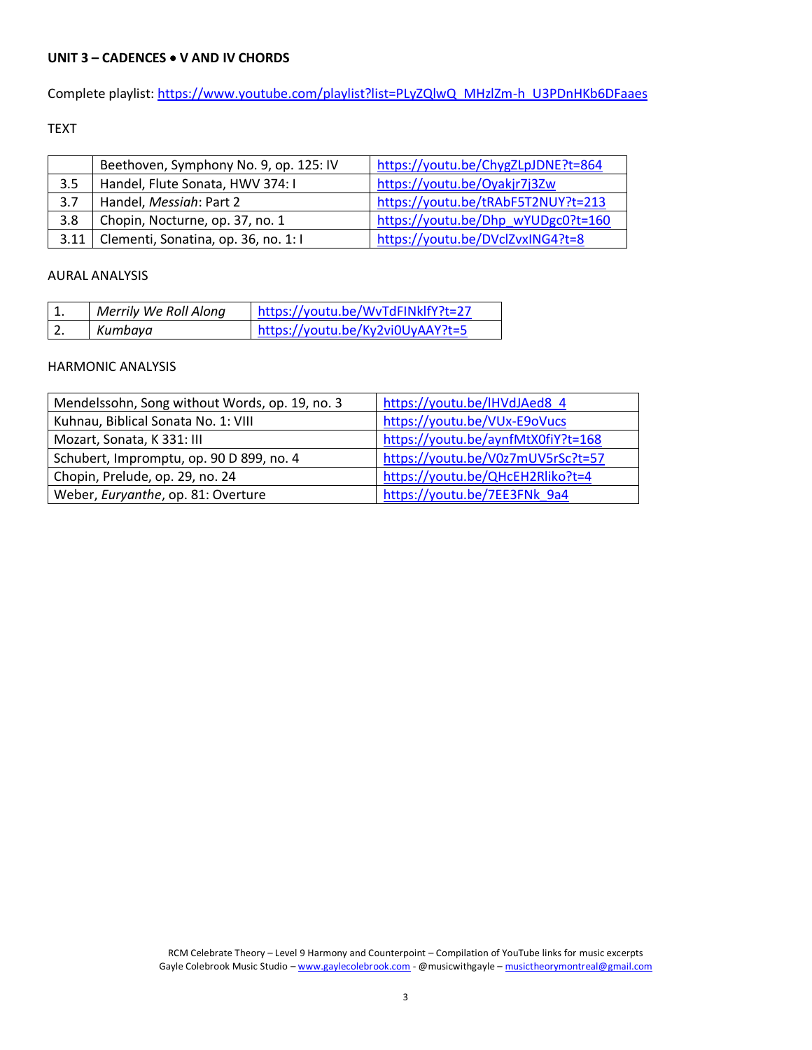## **UNIT 3 – CADENCES** • **V AND IV CHORDS**

Complete playlist: [https://www.youtube.com/playlist?list=PLyZQlwQ\\_MHzlZm-h\\_U3PDnHKb6DFaaes](https://www.youtube.com/playlist?list=PLyZQlwQ_MHzlZm-h_U3PDnHKb6DFaaes_)

## TEXT

|      | Beethoven, Symphony No. 9, op. 125: IV | https://youtu.be/ChygZLpJDNE?t=864 |
|------|----------------------------------------|------------------------------------|
| 3.5  | Handel, Flute Sonata, HWV 374: I       | https://youtu.be/Oyakjr7j3Zw       |
| 3.7  | Handel, Messiah: Part 2                | https://youtu.be/tRAbF5T2NUY?t=213 |
| 3.8  | Chopin, Nocturne, op. 37, no. 1        | https://youtu.be/Dhp wYUDgc0?t=160 |
| 3.11 | Clementi, Sonatina, op. 36, no. 1:1    | https://youtu.be/DVclZvxING4?t=8   |

#### AURAL ANALYSIS

| ᅩ. | Merrily We Roll Along | https://youtu.be/WvTdFINklfY?t=27 |
|----|-----------------------|-----------------------------------|
| Ζ. | Kumbaya               | https://youtu.be/Ky2vi0UyAAY?t=5  |

| Mendelssohn, Song without Words, op. 19, no. 3 | https://youtu.be/lHVdJAed8 4       |
|------------------------------------------------|------------------------------------|
| Kuhnau, Biblical Sonata No. 1: VIII            | https://youtu.be/VUx-E9oVucs       |
| Mozart, Sonata, K 331: III                     | https://youtu.be/aynfMtX0fiY?t=168 |
| Schubert, Impromptu, op. 90 D 899, no. 4       | https://youtu.be/V0z7mUV5rSc?t=57  |
| Chopin, Prelude, op. 29, no. 24                | https://youtu.be/QHcEH2Rliko?t=4   |
| Weber, Euryanthe, op. 81: Overture             | https://youtu.be/7EE3FNk 9a4       |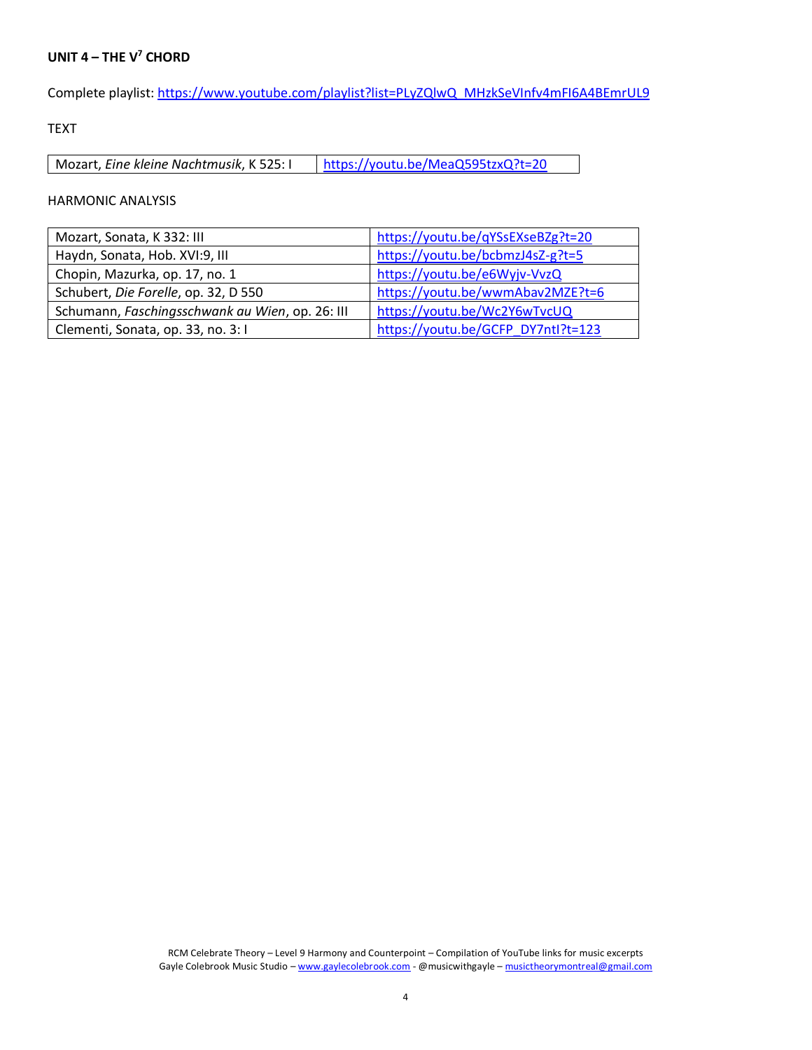# **UNIT 4 – THE V <sup>7</sup> CHORD**

Complete playlist: [https://www.youtube.com/playlist?list=PLyZQlwQ\\_MHzkSeVInfv4mFI6A4BEmrUL9](https://www.youtube.com/playlist?list=PLyZQlwQ_MHzkSeVInfv4mFI6A4BEmrUL9)

TEXT

Mozart, *Eine kleine Nachtmusik*, K 525: | | <https://youtu.be/MeaQ595tzxQ?t=20>

| Mozart, Sonata, K 332: III                      | https://youtu.be/qYSsEXseBZg?t=20  |
|-------------------------------------------------|------------------------------------|
| Haydn, Sonata, Hob. XVI:9, III                  | https://youtu.be/bcbmzJ4sZ-g?t=5   |
| Chopin, Mazurka, op. 17, no. 1                  | https://youtu.be/e6Wyjv-VvzQ       |
| Schubert, Die Forelle, op. 32, D 550            | https://youtu.be/wwmAbav2MZE?t=6   |
| Schumann, Faschingsschwank au Wien, op. 26: III | https://youtu.be/Wc2Y6wTvcUQ       |
| Clementi, Sonata, op. 33, no. 3:1               | https://youtu.be/GCFP DY7ntl?t=123 |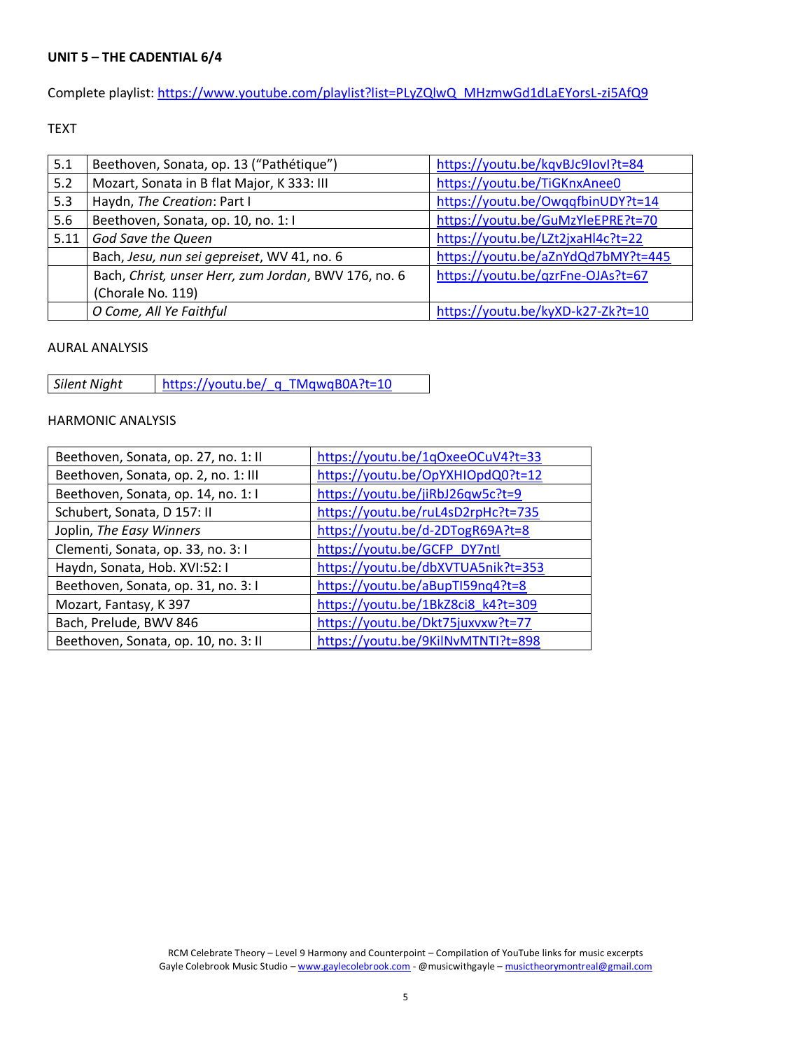## **UNIT 5 – THE CADENTIAL 6/4**

Complete playlist: [https://www.youtube.com/playlist?list=PLyZQlwQ\\_MHzmwGd1dLaEYorsL-zi5AfQ9](https://www.youtube.com/playlist?list=PLyZQlwQ_MHzmwGd1dLaEYorsL-zi5AfQ9)

#### TEXT

| 5.1  | Beethoven, Sonata, op. 13 ("Pathétique")             | https://youtu.be/kqvBJc9lovl?t=84  |
|------|------------------------------------------------------|------------------------------------|
| 5.2  | Mozart, Sonata in B flat Major, K 333: III           | https://youtu.be/TiGKnxAnee0       |
| 5.3  | Haydn, The Creation: Part I                          | https://youtu.be/OwgqfbinUDY?t=14  |
| 5.6  | Beethoven, Sonata, op. 10, no. 1:1                   | https://youtu.be/GuMzYleEPRE?t=70  |
| 5.11 | God Save the Queen                                   | https://youtu.be/LZt2jxaHl4c?t=22  |
|      | Bach, Jesu, nun sei gepreiset, WV 41, no. 6          | https://youtu.be/aZnYdQd7bMY?t=445 |
|      | Bach, Christ, unser Herr, zum Jordan, BWV 176, no. 6 | https://youtu.be/qzrFne-OJAs?t=67  |
|      | (Chorale No. 119)                                    |                                    |
|      | O Come, All Ye Faithful                              | https://youtu.be/kyXD-k27-Zk?t=10  |

## AURAL ANALYSIS

*Silent Night* [https://youtu.be/\\_q\\_TMqwqB0A?t=10](https://youtu.be/_q_TMqwqB0A?t=10)

| Beethoven, Sonata, op. 27, no. 1: II | https://youtu.be/1qOxeeOCuV4?t=33  |
|--------------------------------------|------------------------------------|
| Beethoven, Sonata, op. 2, no. 1: III | https://youtu.be/OpYXHIOpdQ0?t=12  |
| Beethoven, Sonata, op. 14, no. 1: I  | https://youtu.be/jiRbJ26qw5c?t=9   |
| Schubert, Sonata, D 157: II          | https://youtu.be/ruL4sD2rpHc?t=735 |
| Joplin, The Easy Winners             | https://youtu.be/d-2DTogR69A?t=8   |
| Clementi, Sonata, op. 33, no. 3:1    | https://youtu.be/GCFP_DY7ntl       |
| Haydn, Sonata, Hob. XVI:52: I        | https://youtu.be/dbXVTUA5nik?t=353 |
| Beethoven, Sonata, op. 31, no. 3:1   | https://youtu.be/aBupTI59nq4?t=8   |
| Mozart, Fantasy, K 397               | https://youtu.be/1BkZ8ci8 k4?t=309 |
| Bach, Prelude, BWV 846               | https://youtu.be/Dkt75juxvxw?t=77  |
| Beethoven, Sonata, op. 10, no. 3: II | https://youtu.be/9KilNvMTNTI?t=898 |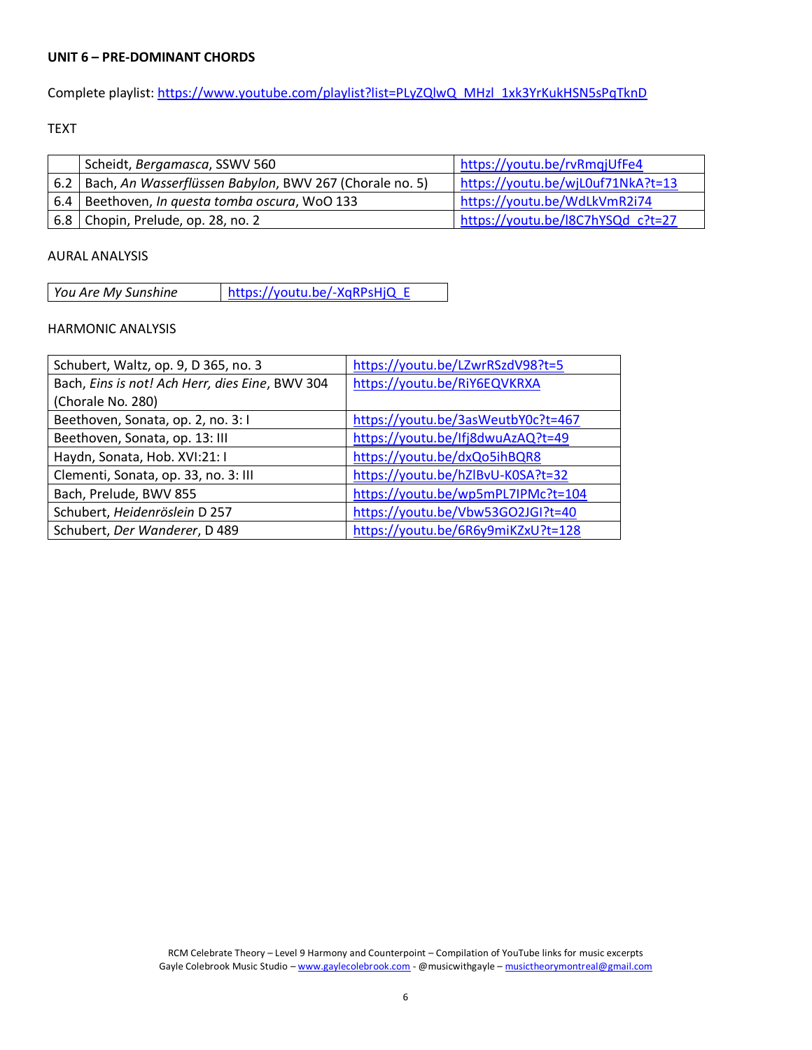#### **UNIT 6 – PRE-DOMINANT CHORDS**

Complete playlist: [https://www.youtube.com/playlist?list=PLyZQlwQ\\_MHzl\\_1xk3YrKukHSN5sPqTknD](https://www.youtube.com/playlist?list=PLyZQlwQ_MHzl_1xk3YrKukHSN5sPqTknD)

## TEXT

|            | Scheidt, Bergamasca, SSWV 560                           | https://youtu.be/rvRmqjUfFe4      |
|------------|---------------------------------------------------------|-----------------------------------|
| 6.2        | Bach, An Wasserflüssen Babylon, BWV 267 (Chorale no. 5) | https://youtu.be/wjL0uf71NkA?t=13 |
| $6.4 \mid$ | Beethoven, In questa tomba oscura, WoO 133              | https://youtu.be/WdLkVmR2i74      |
|            | 6.8   Chopin, Prelude, op. 28, no. 2                    | https://youtu.be/I8C7hYSQd_c?t=27 |

## AURAL ANALYSIS

| https://youtu.be/-XqRPsHjQ_E<br>You Are My Sunshine |
|-----------------------------------------------------|
|-----------------------------------------------------|

| Schubert, Waltz, op. 9, D 365, no. 3            | https://youtu.be/LZwrRSzdV98?t=5   |
|-------------------------------------------------|------------------------------------|
| Bach, Eins is not! Ach Herr, dies Eine, BWV 304 | https://youtu.be/RiY6EQVKRXA       |
| (Chorale No. 280)                               |                                    |
| Beethoven, Sonata, op. 2, no. 3:1               | https://youtu.be/3asWeutbY0c?t=467 |
| Beethoven, Sonata, op. 13: III                  | https://youtu.be/lfj8dwuAzAQ?t=49  |
| Haydn, Sonata, Hob. XVI:21: I                   | https://youtu.be/dxQo5ihBQR8       |
| Clementi, Sonata, op. 33, no. 3: III            | https://youtu.be/hZlBvU-K0SA?t=32  |
| Bach, Prelude, BWV 855                          | https://youtu.be/wp5mPL7IPMc?t=104 |
| Schubert, Heidenröslein D 257                   | https://youtu.be/Vbw53GO2JGI?t=40  |
| Schubert, Der Wanderer, D 489                   | https://youtu.be/6R6y9miKZxU?t=128 |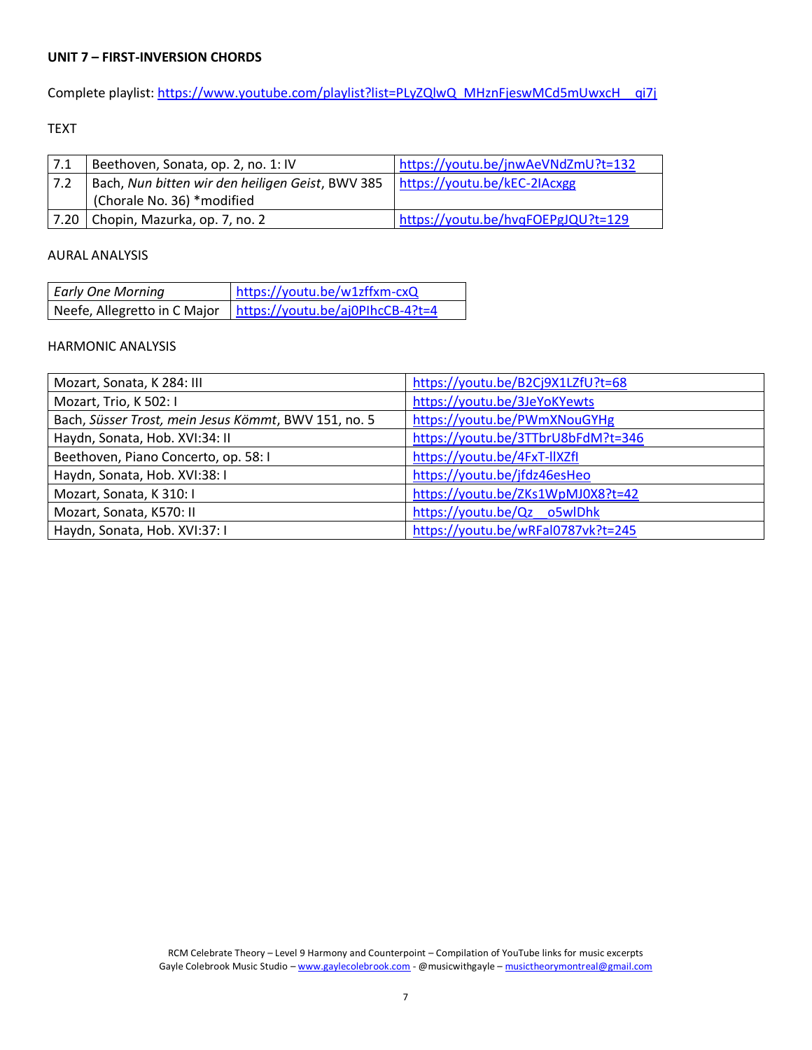## **UNIT 7 – FIRST-INVERSION CHORDS**

Complete playlist: [https://www.youtube.com/playlist?list=PLyZQlwQ\\_MHznFjeswMCd5mUwxcH\\_\\_qi7j](https://www.youtube.com/playlist?list=PLyZQlwQ_MHznFjeswMCd5mUwxcH__qi7j)

## TEXT

| 7.1  | Beethoven, Sonata, op. 2, no. 1: IV              | https://youtu.be/jnwAeVNdZmU?t=132 |
|------|--------------------------------------------------|------------------------------------|
| 7.2  | Bach, Nun bitten wir den heiligen Geist, BWV 385 | https://youtu.be/kEC-2IAcxgg       |
|      | (Chorale No. 36) *modified                       |                                    |
| 7.20 | Chopin, Mazurka, op. 7, no. 2                    | https://youtu.be/hvqFOEPgJQU?t=129 |

## AURAL ANALYSIS

| <b>Early One Morning</b> | https://youtu.be/w1zffxm-cxQ                                    |
|--------------------------|-----------------------------------------------------------------|
|                          | Neefe, Allegretto in C Major   https://youtu.be/aj0PlhcCB-4?t=4 |

| Mozart, Sonata, K 284: III                           | https://youtu.be/B2Cj9X1LZfU?t=68  |  |
|------------------------------------------------------|------------------------------------|--|
| Mozart, Trio, K 502: I                               | https://youtu.be/3JeYoKYewts       |  |
| Bach, Süsser Trost, mein Jesus Kömmt, BWV 151, no. 5 | https://youtu.be/PWmXNouGYHg       |  |
| Haydn, Sonata, Hob. XVI:34: II                       | https://youtu.be/3TTbrU8bFdM?t=346 |  |
| Beethoven, Piano Concerto, op. 58: I                 | https://youtu.be/4FxT-IIXZfI       |  |
| Haydn, Sonata, Hob. XVI:38: I                        | https://youtu.be/jfdz46esHeo       |  |
| Mozart, Sonata, K 310: I                             | https://youtu.be/ZKs1WpMJ0X8?t=42  |  |
| Mozart, Sonata, K570: II                             | https://youtu.be/Qz o5wlDhk        |  |
| Haydn, Sonata, Hob. XVI:37: I                        | https://youtu.be/wRFal0787vk?t=245 |  |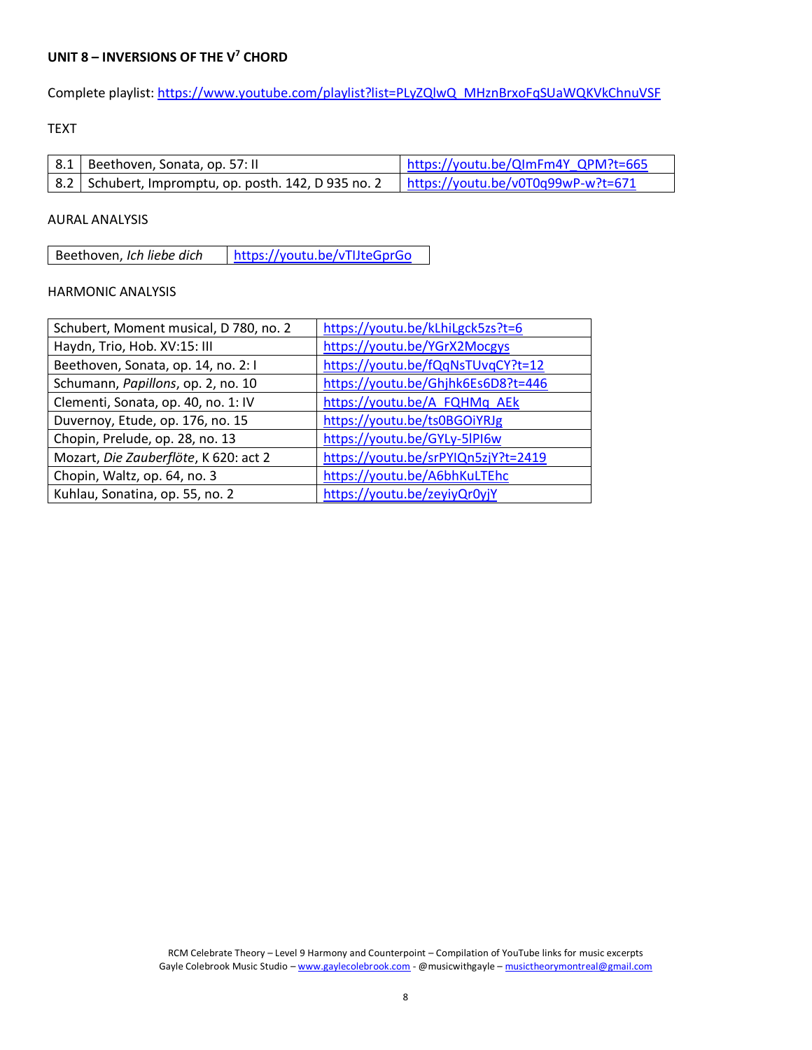## **UNIT 8 – INVERSIONS OF THE V<sup>7</sup> CHORD**

Complete playlist: [https://www.youtube.com/playlist?list=PLyZQlwQ\\_MHznBrxoFqSUaWQKVkChnuVSF](https://www.youtube.com/playlist?list=PLyZQlwQ_MHznBrxoFqSUaWQKVkChnuVSF)

## TEXT

| $\vert$ 8.1   Beethoven, Sonata, op. 57: II            | https://youtu.be/QImFm4Y QPM?t=665 |
|--------------------------------------------------------|------------------------------------|
| 8.2   Schubert, Impromptu, op. posth. 142, D 935 no. 2 | https://youtu.be/v0T0q99wP-w?t=671 |

## AURAL ANALYSIS

Beethoven, *Ich liebe dich* <https://youtu.be/vTIJteGprGo>

| Schubert, Moment musical, D 780, no. 2 | https://youtu.be/kLhiLgck5zs?t=6    |
|----------------------------------------|-------------------------------------|
| Haydn, Trio, Hob. XV:15: III           | https://youtu.be/YGrX2Mocgys        |
| Beethoven, Sonata, op. 14, no. 2:1     | https://youtu.be/fQqNsTUvqCY?t=12   |
| Schumann, Papillons, op. 2, no. 10     | https://youtu.be/Ghjhk6Es6D8?t=446  |
| Clementi, Sonata, op. 40, no. 1: IV    | https://youtu.be/A FQHMq AEk        |
| Duvernoy, Etude, op. 176, no. 15       | https://youtu.be/ts0BGOiYRJg        |
| Chopin, Prelude, op. 28, no. 13        | https://youtu.be/GYLy-5lPI6w        |
| Mozart, Die Zauberflöte, K 620: act 2  | https://youtu.be/srPYIQn5zjY?t=2419 |
| Chopin, Waltz, op. 64, no. 3           | https://youtu.be/A6bhKuLTEhc        |
| Kuhlau, Sonatina, op. 55, no. 2        | https://youtu.be/zeyiyQr0yjY        |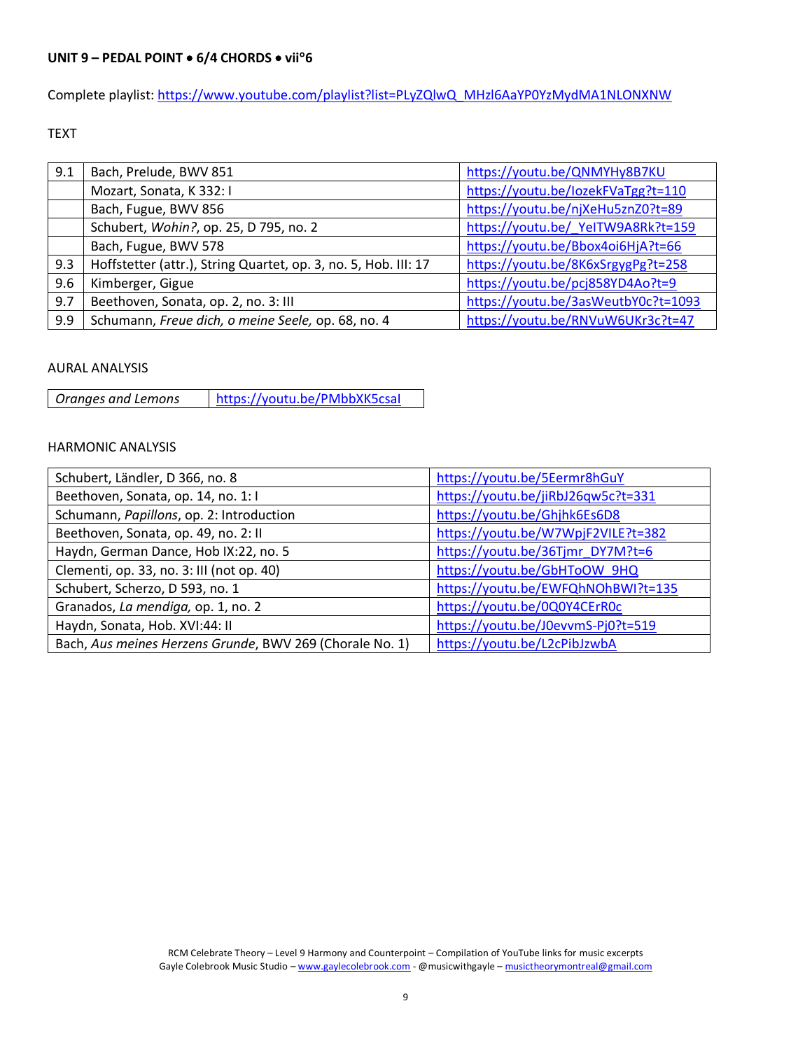Complete playlist: [https://www.youtube.com/playlist?list=PLyZQlwQ\\_MHzl6AaYP0YzMydMA1NLONXNW](https://www.youtube.com/playlist?list=PLyZQlwQ_MHzl6AaYP0YzMydMA1NLONXNW)

TEXT

| 9.1 | Bach, Prelude, BWV 851                                          | https://youtu.be/QNMYHy8B7KU        |  |
|-----|-----------------------------------------------------------------|-------------------------------------|--|
|     | Mozart, Sonata, K 332: I                                        | https://youtu.be/lozekFVaTgg?t=110  |  |
|     | Bach, Fugue, BWV 856                                            | https://youtu.be/njXeHu5znZ0?t=89   |  |
|     | Schubert, Wohin?, op. 25, D 795, no. 2                          | https://youtu.be/ YelTW9A8Rk?t=159  |  |
|     | Bach, Fugue, BWV 578                                            | https://youtu.be/Bbox4oi6HjA?t=66   |  |
| 9.3 | Hoffstetter (attr.), String Quartet, op. 3, no. 5, Hob. III: 17 | https://youtu.be/8K6xSrgygPg?t=258  |  |
| 9.6 | Kimberger, Gigue                                                | https://youtu.be/pcj858YD4Ao?t=9    |  |
| 9.7 | Beethoven, Sonata, op. 2, no. 3: III                            | https://youtu.be/3asWeutbY0c?t=1093 |  |
| 9.9 | Schumann, Freue dich, o meine Seele, op. 68, no. 4              | https://youtu.be/RNVuW6UKr3c?t=47   |  |

## AURAL ANALYSIS

*Oranges and Lemons* | <https://youtu.be/PMbbXK5csaI>

| Schubert, Ländler, D 366, no. 8                          | https://youtu.be/5Eermr8hGuY       |  |
|----------------------------------------------------------|------------------------------------|--|
| Beethoven, Sonata, op. 14, no. 1: I                      | https://youtu.be/jiRbJ26qw5c?t=331 |  |
| Schumann, Papillons, op. 2: Introduction                 | https://youtu.be/Ghjhk6Es6D8       |  |
| Beethoven, Sonata, op. 49, no. 2: II                     | https://youtu.be/W7WpjF2VILE?t=382 |  |
| Haydn, German Dance, Hob IX:22, no. 5                    | https://youtu.be/36Tjmr_DY7M?t=6   |  |
| Clementi, op. 33, no. 3: III (not op. 40)                | https://youtu.be/GbHToOW 9HQ       |  |
| Schubert, Scherzo, D 593, no. 1                          | https://youtu.be/EWFQhNOhBWI?t=135 |  |
| Granados, La mendiga, op. 1, no. 2                       | https://youtu.be/0Q0Y4CErR0c       |  |
| Haydn, Sonata, Hob. XVI:44: II                           | https://youtu.be/J0evvmS-Pj0?t=519 |  |
| Bach, Aus meines Herzens Grunde, BWV 269 (Chorale No. 1) | https://youtu.be/L2cPibJzwbA       |  |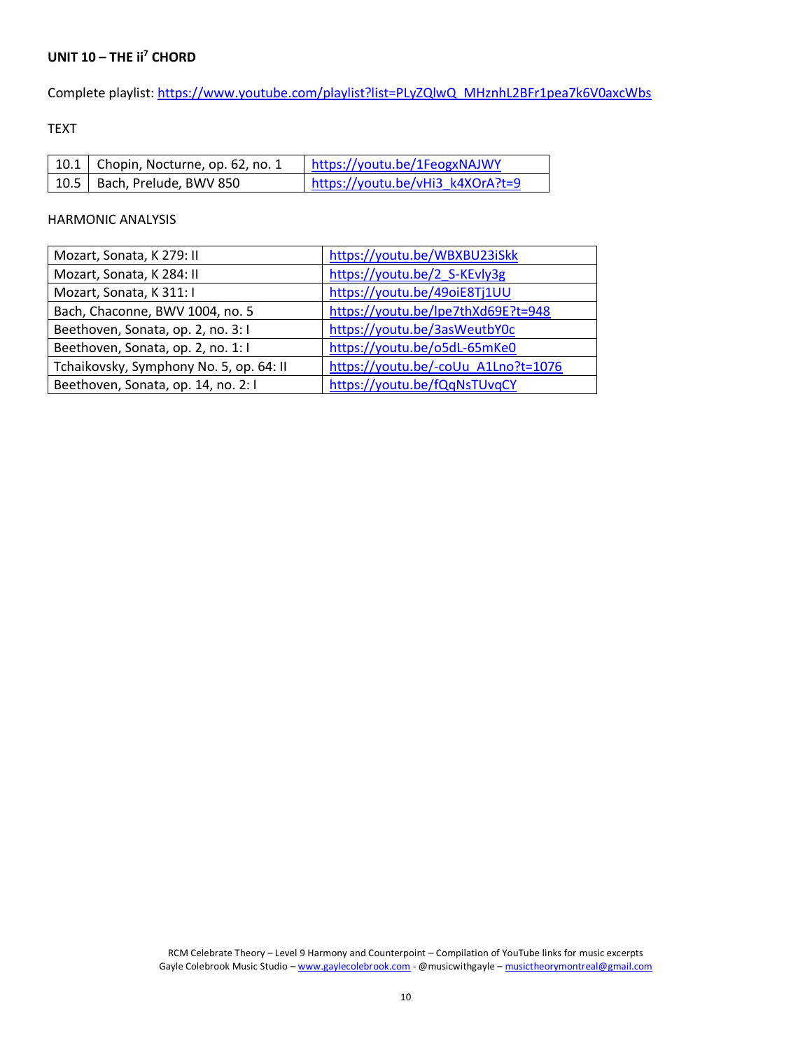# **UNIT 10 – THE ii<sup>7</sup> CHORD**

Complete playlist: [https://www.youtube.com/playlist?list=PLyZQlwQ\\_MHznhL2BFr1pea7k6V0axcWbs](https://www.youtube.com/playlist?list=PLyZQlwQ_MHznhL2BFr1pea7k6V0axcWbs)

TEXT

| $\vert$ 10.1   Chopin, Nocturne, op. 62, no. 1 | https://youtu.be/1FeogxNAJWY     |
|------------------------------------------------|----------------------------------|
| 10.5   Bach, Prelude, BWV 850                  | https://youtu.be/vHi3 k4XOrA?t=9 |

| Mozart, Sonata, K 279: II               | https://youtu.be/WBXBU23iSkk        |  |
|-----------------------------------------|-------------------------------------|--|
| Mozart, Sonata, K 284: II               | https://youtu.be/2 S-KEvly3g        |  |
| Mozart, Sonata, K 311: I                | https://youtu.be/49oiE8Tj1UU        |  |
| Bach, Chaconne, BWV 1004, no. 5         | https://youtu.be/lpe7thXd69E?t=948  |  |
| Beethoven, Sonata, op. 2, no. 3:1       | https://youtu.be/3asWeutbY0c        |  |
| Beethoven, Sonata, op. 2, no. 1:1       | https://youtu.be/o5dL-65mKe0        |  |
| Tchaikovsky, Symphony No. 5, op. 64: II | https://youtu.be/-coUu_A1Lno?t=1076 |  |
| Beethoven, Sonata, op. 14, no. 2:1      | https://youtu.be/fQqNsTUvqCY        |  |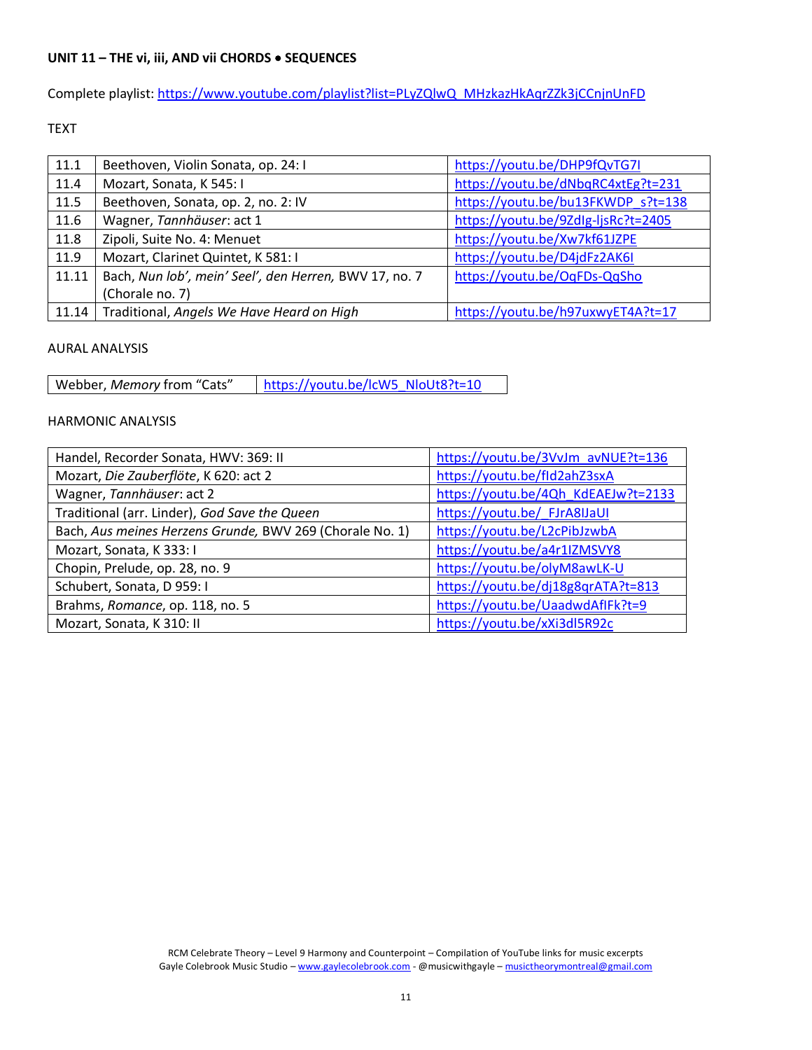## **UNIT 11 – THE vi, iii, AND vii CHORDS** • **SEQUENCES**

Complete playlist: [https://www.youtube.com/playlist?list=PLyZQlwQ\\_MHzkazHkAqrZZk3jCCnjnUnFD](https://www.youtube.com/playlist?list=PLyZQlwQ_MHzkazHkAqrZZk3jCCnjnUnFD)

## TEXT

| 11.1  | Beethoven, Violin Sonata, op. 24: I                    | https://youtu.be/DHP9fQvTG7I        |  |
|-------|--------------------------------------------------------|-------------------------------------|--|
| 11.4  | Mozart, Sonata, K 545: I                               | https://youtu.be/dNbqRC4xtEg?t=231  |  |
| 11.5  | Beethoven, Sonata, op. 2, no. 2: IV                    | https://youtu.be/bu13FKWDP s?t=138  |  |
| 11.6  | Wagner, Tannhäuser: act 1                              | https://youtu.be/9Zdlg-ljsRc?t=2405 |  |
| 11.8  | Zipoli, Suite No. 4: Menuet                            | https://youtu.be/Xw7kf61JZPE        |  |
| 11.9  | Mozart, Clarinet Quintet, K 581: I                     | https://youtu.be/D4jdFz2AK6I        |  |
| 11.11 | Bach, Nun lob', mein' Seel', den Herren, BWV 17, no. 7 | https://youtu.be/OqFDs-QqSho        |  |
|       | (Chorale no. 7)                                        |                                     |  |
|       | 11.14 Traditional, Angels We Have Heard on High        | https://youtu.be/h97uxwyET4A?t=17   |  |

#### AURAL ANALYSIS

Webber, *Memory* from "Cats" [https://youtu.be/lcW5\\_NloUt8?t=10](https://youtu.be/lcW5_NloUt8?t=10)

| Handel, Recorder Sonata, HWV: 369: II                    | https://youtu.be/3VvJm_avNUE?t=136  |  |
|----------------------------------------------------------|-------------------------------------|--|
| Mozart, Die Zauberflöte, K 620: act 2                    | https://youtu.be/fld2ahZ3sxA        |  |
| Wagner, Tannhäuser: act 2                                | https://youtu.be/4Qh KdEAEJw?t=2133 |  |
| Traditional (arr. Linder), God Save the Queen            | https://youtu.be/ FJrA8IJaUI        |  |
| Bach, Aus meines Herzens Grunde, BWV 269 (Chorale No. 1) | https://youtu.be/L2cPibJzwbA        |  |
| Mozart, Sonata, K333: I                                  | https://youtu.be/a4r1IZMSVY8        |  |
| Chopin, Prelude, op. 28, no. 9                           | https://youtu.be/olyM8awLK-U        |  |
| Schubert, Sonata, D 959: I                               | https://youtu.be/dj18g8qrATA?t=813  |  |
| Brahms, Romance, op. 118, no. 5                          | https://youtu.be/UaadwdAfIFk?t=9    |  |
| Mozart, Sonata, K 310: II                                | https://youtu.be/xXi3dl5R92c        |  |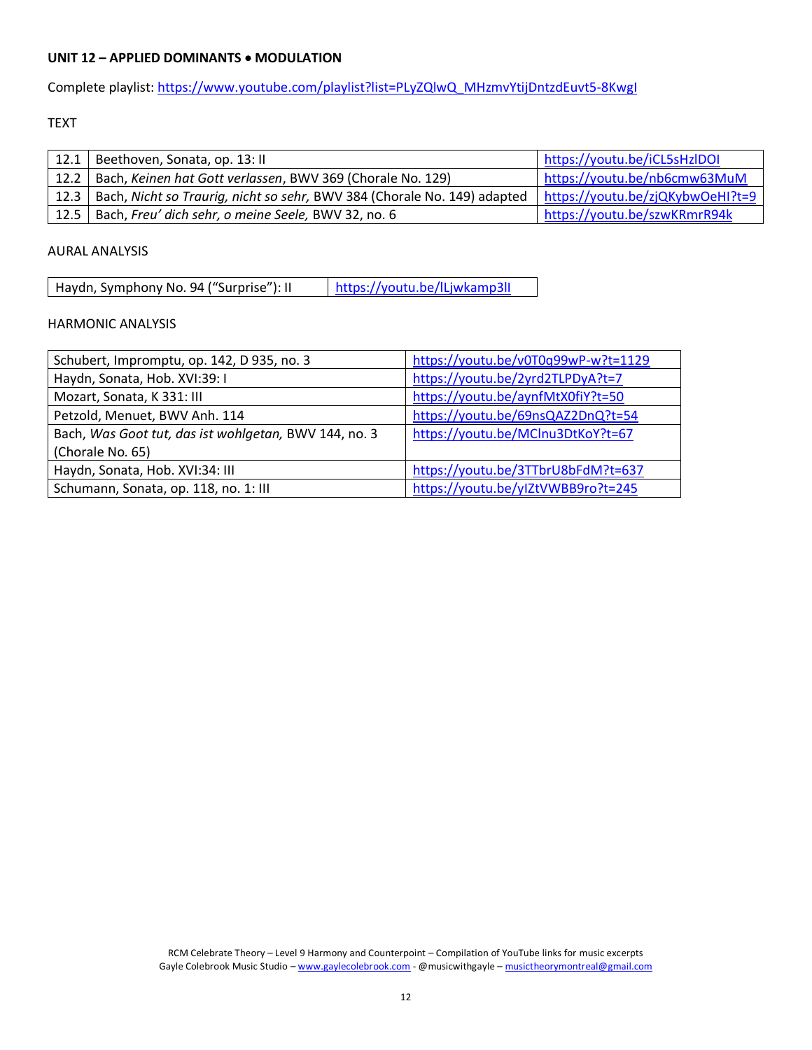## **UNIT 12 – APPLIED DOMINANTS** • **MODULATION**

Complete playlist: [https://www.youtube.com/playlist?list=PLyZQlwQ\\_MHzmvYtijDntzdEuvt5-8KwgI](https://www.youtube.com/playlist?list=PLyZQlwQ_MHzmvYtijDntzdEuvt5-8KwgI)

## TEXT

|      | $12.1$   Beethoven, Sonata, op. 13: II                                          | https://youtu.be/iCL5sHzIDOI     |
|------|---------------------------------------------------------------------------------|----------------------------------|
| 12.2 | Bach, Keinen hat Gott verlassen, BWV 369 (Chorale No. 129)                      | https://youtu.be/nb6cmw63MuM     |
|      | 12.3   Bach, Nicht so Traurig, nicht so sehr, BWV 384 (Chorale No. 149) adapted | https://youtu.be/zjQKybwOeHI?t=9 |
| 12.5 | Bach, Freu' dich sehr, o meine Seele, BWV 32, no. 6                             | https://youtu.be/szwKRmrR94k     |

## AURAL ANALYSIS

| Haydn, Symphony No. 94 ("Surprise"): II | https://youtu.be/lLjwkamp3ll |
|-----------------------------------------|------------------------------|
|-----------------------------------------|------------------------------|

| Schubert, Impromptu, op. 142, D 935, no. 3            | https://youtu.be/v0T0q99wP-w?t=1129 |
|-------------------------------------------------------|-------------------------------------|
| Haydn, Sonata, Hob. XVI:39: I                         | https://youtu.be/2yrd2TLPDyA?t=7    |
| Mozart, Sonata, K 331: III                            | https://youtu.be/aynfMtX0fiY?t=50   |
| Petzold, Menuet, BWV Anh. 114                         | https://youtu.be/69nsQAZ2DnQ?t=54   |
| Bach, Was Goot tut, das ist wohlgetan, BWV 144, no. 3 | https://youtu.be/MClnu3DtKoY?t=67   |
| (Chorale No. 65)                                      |                                     |
| Haydn, Sonata, Hob. XVI:34: III                       | https://youtu.be/3TTbrU8bFdM?t=637  |
| Schumann, Sonata, op. 118, no. 1: III                 | https://youtu.be/ylZtVWBB9ro?t=245  |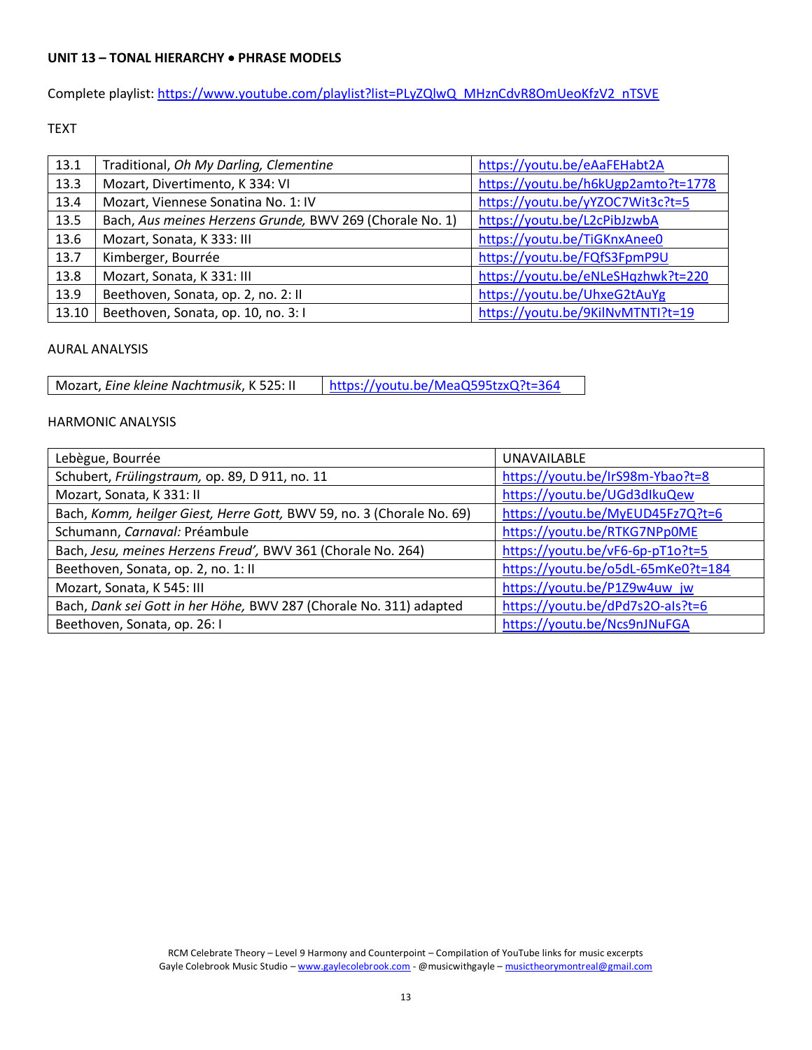## **UNIT 13 – TONAL HIERARCHY** • **PHRASE MODELS**

Complete playlist: [https://www.youtube.com/playlist?list=PLyZQlwQ\\_MHznCdvR8OmUeoKfzV2\\_nTSVE](https://www.youtube.com/playlist?list=PLyZQlwQ_MHznCdvR8OmUeoKfzV2_nTSVE)

## TEXT

| 13.1  | Traditional, Oh My Darling, Clementine                   | https://youtu.be/eAaFEHabt2A        |
|-------|----------------------------------------------------------|-------------------------------------|
| 13.3  | Mozart, Divertimento, K 334: VI                          | https://youtu.be/h6kUgp2amto?t=1778 |
| 13.4  | Mozart, Viennese Sonatina No. 1: IV                      | https://youtu.be/yYZOC7Wit3c?t=5    |
| 13.5  | Bach, Aus meines Herzens Grunde, BWV 269 (Chorale No. 1) | https://youtu.be/L2cPibJzwbA        |
| 13.6  | Mozart, Sonata, K 333: III                               | https://youtu.be/TiGKnxAnee0        |
| 13.7  | Kimberger, Bourrée                                       | https://youtu.be/FQfS3FpmP9U        |
| 13.8  | Mozart, Sonata, K 331: III                               | https://youtu.be/eNLeSHqzhwk?t=220  |
| 13.9  | Beethoven, Sonata, op. 2, no. 2: II                      | https://youtu.be/UhxeG2tAuYg        |
| 13.10 | Beethoven, Sonata, op. 10, no. 3:1                       | https://youtu.be/9KilNvMTNTI?t=19   |

#### AURAL ANALYSIS

Mozart, *Eine kleine Nachtmusik*, K 525: II | <https://youtu.be/MeaQ595tzxQ?t=364>

| Lebègue, Bourrée                                                      | UNAVAILABLE                        |
|-----------------------------------------------------------------------|------------------------------------|
| Schubert, Frülingstraum, op. 89, D 911, no. 11                        | https://youtu.be/IrS98m-Ybao?t=8   |
| Mozart, Sonata, K 331: II                                             | https://youtu.be/UGd3dlkuQew       |
| Bach, Komm, heilger Giest, Herre Gott, BWV 59, no. 3 (Chorale No. 69) | https://youtu.be/MyEUD45Fz7Q?t=6   |
| Schumann, Carnaval: Préambule                                         | https://youtu.be/RTKG7NPp0ME       |
| Bach, Jesu, meines Herzens Freud', BWV 361 (Chorale No. 264)          | https://youtu.be/vF6-6p-pT1o?t=5   |
| Beethoven, Sonata, op. 2, no. 1: II                                   | https://youtu.be/o5dL-65mKe0?t=184 |
| Mozart, Sonata, K 545: III                                            | https://youtu.be/P1Z9w4uw jw       |
| Bach, Dank sei Gott in her Höhe, BWV 287 (Chorale No. 311) adapted    | https://youtu.be/dPd7s2O-als?t=6   |
| Beethoven, Sonata, op. 26: I                                          | https://youtu.be/Ncs9nJNuFGA       |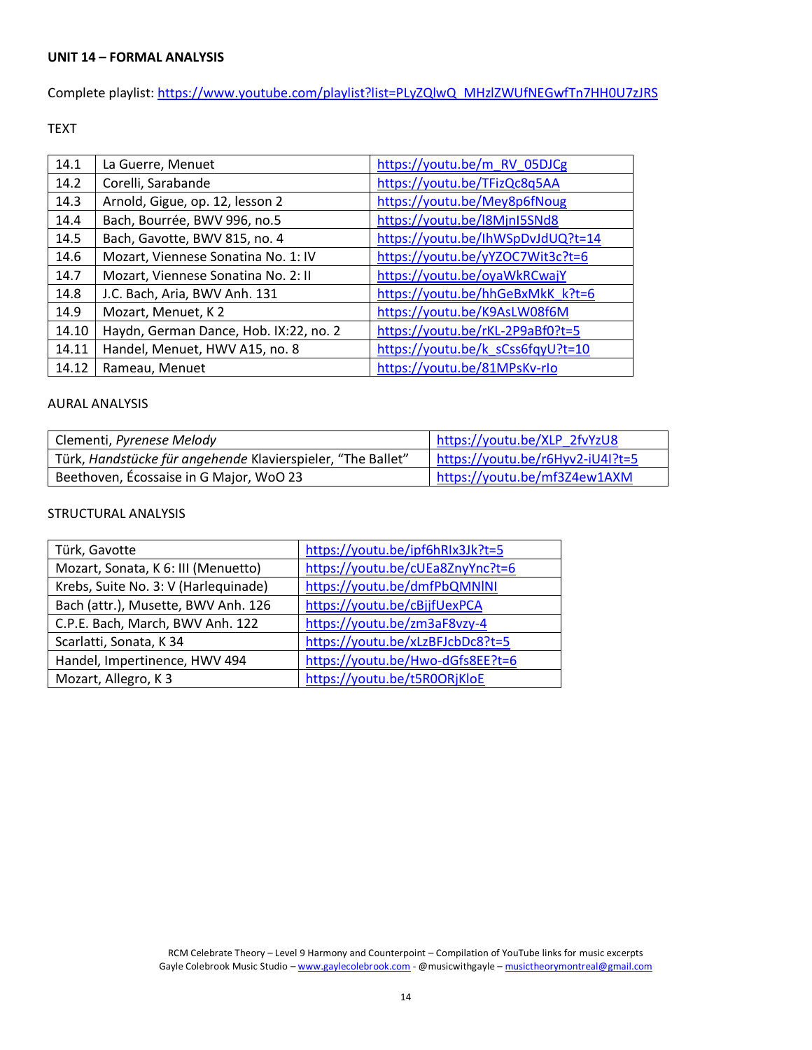Complete playlist: [https://www.youtube.com/playlist?list=PLyZQlwQ\\_MHzlZWUfNEGwfTn7HH0U7zJRS](https://www.youtube.com/playlist?list=PLyZQlwQ_MHzlZWUfNEGwfTn7HH0U7zJRS)

TEXT

| 14.1  | La Guerre, Menuet                      | https://youtu.be/m RV 05DJCg      |
|-------|----------------------------------------|-----------------------------------|
| 14.2  | Corelli, Sarabande                     | https://youtu.be/TFizQc8q5AA      |
| 14.3  | Arnold, Gigue, op. 12, lesson 2        | https://youtu.be/Mey8p6fNoug      |
| 14.4  | Bach, Bourrée, BWV 996, no.5           | https://youtu.be/l8MjnI5SNd8      |
| 14.5  | Bach, Gavotte, BWV 815, no. 4          | https://youtu.be/lhWSpDvJdUQ?t=14 |
| 14.6  | Mozart, Viennese Sonatina No. 1: IV    | https://youtu.be/yYZOC7Wit3c?t=6  |
| 14.7  | Mozart, Viennese Sonatina No. 2: II    | https://youtu.be/oyaWkRCwajY      |
| 14.8  | J.C. Bach, Aria, BWV Anh. 131          | https://youtu.be/hhGeBxMkK k?t=6  |
| 14.9  | Mozart, Menuet, K2                     | https://youtu.be/K9AsLW08f6M      |
| 14.10 | Haydn, German Dance, Hob. IX:22, no. 2 | https://youtu.be/rKL-2P9aBf0?t=5  |
| 14.11 | Handel, Menuet, HWV A15, no. 8         | https://youtu.be/k sCss6fqyU?t=10 |
| 14.12 | Rameau, Menuet                         | https://youtu.be/81MPsKv-rlo      |

#### AURAL ANALYSIS

| Clementi, Pyrenese Melody                                   | https://youtu.be/XLP 2fvYzU8     |
|-------------------------------------------------------------|----------------------------------|
| Türk, Handstücke für angehende Klavierspieler, "The Ballet" | https://youtu.be/r6Hyv2-iU4I?t=5 |
| Beethoven, Écossaise in G Major, WoO 23                     | https://youtu.be/mf3Z4ew1AXM     |

# STRUCTURAL ANALYSIS

| Türk, Gavotte                        | https://youtu.be/ipf6hRIx3Jk?t=5 |
|--------------------------------------|----------------------------------|
| Mozart, Sonata, K 6: III (Menuetto)  | https://youtu.be/cUEa8ZnyYnc?t=6 |
| Krebs, Suite No. 3: V (Harlequinade) | https://youtu.be/dmfPbQMNINI     |
| Bach (attr.), Musette, BWV Anh. 126  | https://youtu.be/cBjjfUexPCA     |
| C.P.E. Bach, March, BWV Anh. 122     | https://youtu.be/zm3aF8vzy-4     |
| Scarlatti, Sonata, K 34              | https://youtu.be/xLzBFJcbDc8?t=5 |
| Handel, Impertinence, HWV 494        | https://youtu.be/Hwo-dGfs8EE?t=6 |
| Mozart, Allegro, K3                  | https://youtu.be/t5R0ORjKloE     |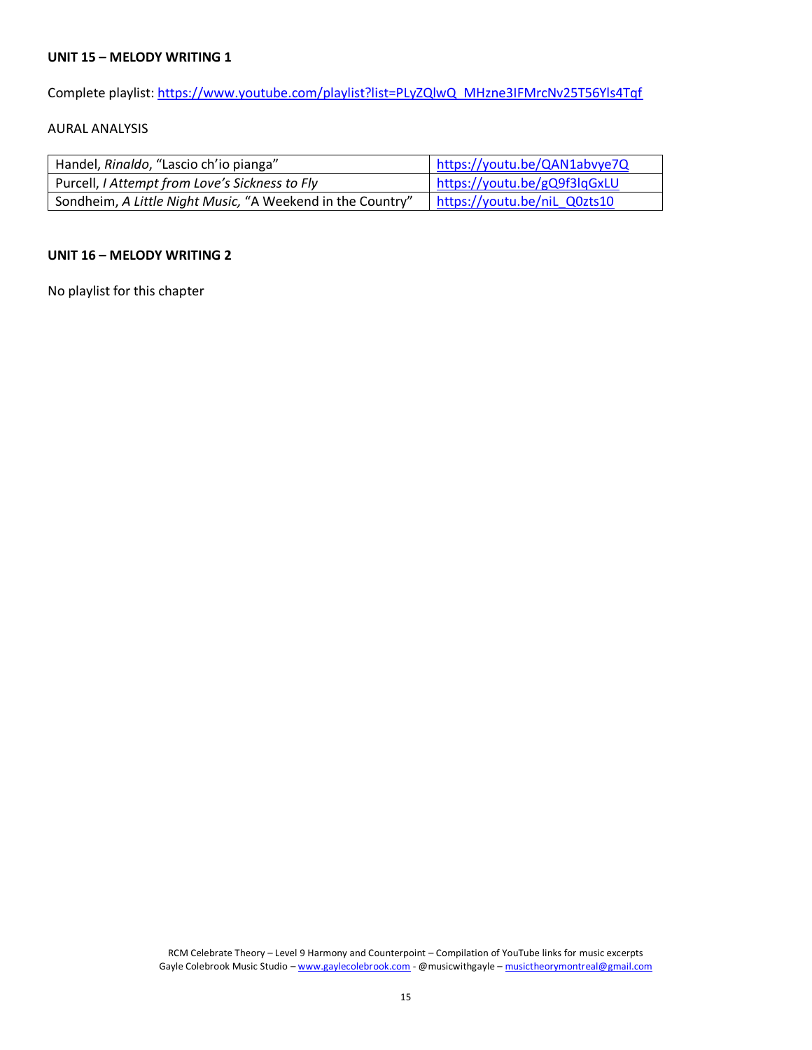## **UNIT 15 – MELODY WRITING 1**

Complete playlist: [https://www.youtube.com/playlist?list=PLyZQlwQ\\_MHzne3IFMrcNv25T56Yls4Tqf](https://www.youtube.com/playlist?list=PLyZQlwQ_MHzne3IFMrcNv25T56Yls4Tqf)

## AURAL ANALYSIS

| Handel, Rinaldo, "Lascio ch'io pianga"                     | https://youtu.be/QAN1abvye7Q |
|------------------------------------------------------------|------------------------------|
| Purcell, I Attempt from Love's Sickness to Fly             | https://youtu.be/gQ9f3lqGxLU |
| Sondheim, A Little Night Music, "A Weekend in the Country" | https://youtu.be/niL_Q0zts10 |

#### **UNIT 16 – MELODY WRITING 2**

No playlist for this chapter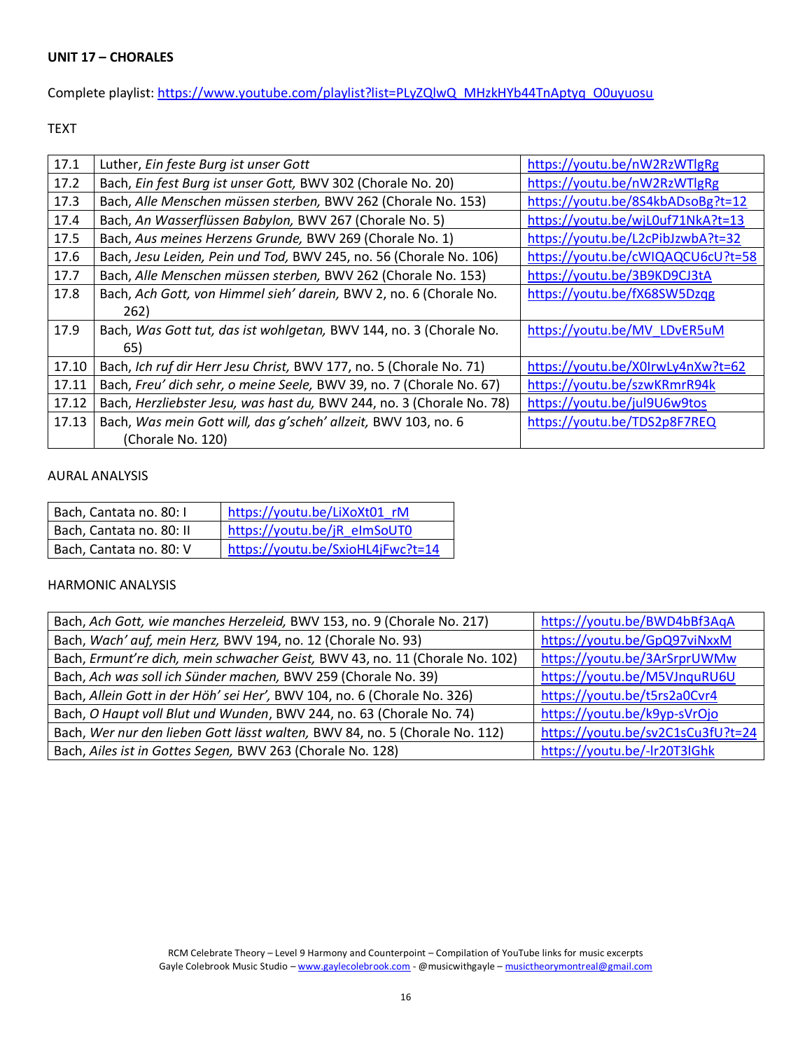Complete playlist: [https://www.youtube.com/playlist?list=PLyZQlwQ\\_MHzkHYb44TnAptyq\\_O0uyuosu](https://www.youtube.com/playlist?list=PLyZQlwQ_MHzkHYb44TnAptyq_O0uyuosu)

TEXT

| 17.1  | Luther, Ein feste Burg ist unser Gott                                 | https://youtu.be/nW2RzWTlgRg      |
|-------|-----------------------------------------------------------------------|-----------------------------------|
| 17.2  | Bach, Ein fest Burg ist unser Gott, BWV 302 (Chorale No. 20)          | https://youtu.be/nW2RzWTlgRg      |
| 17.3  | Bach, Alle Menschen müssen sterben, BWV 262 (Chorale No. 153)         | https://youtu.be/8S4kbADsoBg?t=12 |
| 17.4  | Bach, An Wasserflüssen Babylon, BWV 267 (Chorale No. 5)               | https://youtu.be/wjL0uf71NkA?t=13 |
| 17.5  | Bach, Aus meines Herzens Grunde, BWV 269 (Chorale No. 1)              | https://youtu.be/L2cPibJzwbA?t=32 |
| 17.6  | Bach, Jesu Leiden, Pein und Tod, BWV 245, no. 56 (Chorale No. 106)    | https://youtu.be/cWIQAQCU6cU?t=58 |
| 17.7  | Bach, Alle Menschen müssen sterben, BWV 262 (Chorale No. 153)         | https://youtu.be/3B9KD9CJ3tA      |
| 17.8  | Bach, Ach Gott, von Himmel sieh' darein, BWV 2, no. 6 (Chorale No.    | https://youtu.be/fX68SW5Dzqg      |
|       | 262)                                                                  |                                   |
| 17.9  | Bach, Was Gott tut, das ist wohlgetan, BWV 144, no. 3 (Chorale No.    | https://youtu.be/MV_LDvER5uM      |
|       | 65)                                                                   |                                   |
| 17.10 | Bach, Ich ruf dir Herr Jesu Christ, BWV 177, no. 5 (Chorale No. 71)   | https://youtu.be/X0IrwLy4nXw?t=62 |
| 17.11 | Bach, Freu' dich sehr, o meine Seele, BWV 39, no. 7 (Chorale No. 67)  | https://youtu.be/szwKRmrR94k      |
| 17.12 | Bach, Herzliebster Jesu, was hast du, BWV 244, no. 3 (Chorale No. 78) | https://youtu.be/jul9U6w9tos      |
| 17.13 | Bach, Was mein Gott will, das g'scheh' allzeit, BWV 103, no. 6        | https://youtu.be/TDS2p8F7REQ      |
|       | (Chorale No. 120)                                                     |                                   |

# AURAL ANALYSIS

| Bach, Cantata no. 80: I  | https://youtu.be/LiXoXt01 rM      |
|--------------------------|-----------------------------------|
| Bach, Cantata no. 80: II | https://youtu.be/jR elmSoUT0      |
| Bach, Cantata no. 80: V  | https://youtu.be/SxioHL4jFwc?t=14 |

| Bach, Ach Gott, wie manches Herzeleid, BWV 153, no. 9 (Chorale No. 217)      | https://youtu.be/BWD4bBf3AqA      |
|------------------------------------------------------------------------------|-----------------------------------|
| Bach, Wach' auf, mein Herz, BWV 194, no. 12 (Chorale No. 93)                 | https://youtu.be/GpQ97viNxxM      |
| Bach, Ermunt're dich, mein schwacher Geist, BWV 43, no. 11 (Chorale No. 102) | https://youtu.be/3ArSrprUWMw      |
| Bach, Ach was soll ich Sünder machen, BWV 259 (Chorale No. 39)               | https://youtu.be/M5VJnquRU6U      |
| Bach, Allein Gott in der Höh' sei Her', BWV 104, no. 6 (Chorale No. 326)     | https://youtu.be/t5rs2a0Cvr4      |
| Bach, O Haupt voll Blut und Wunden, BWV 244, no. 63 (Chorale No. 74)         | https://youtu.be/k9yp-sVrOjo      |
| Bach, Wer nur den lieben Gott lässt walten, BWV 84, no. 5 (Chorale No. 112)  | https://youtu.be/sv2C1sCu3fU?t=24 |
| Bach, Ailes ist in Gottes Segen, BWV 263 (Chorale No. 128)                   | https://youtu.be/-lr20T3lGhk      |